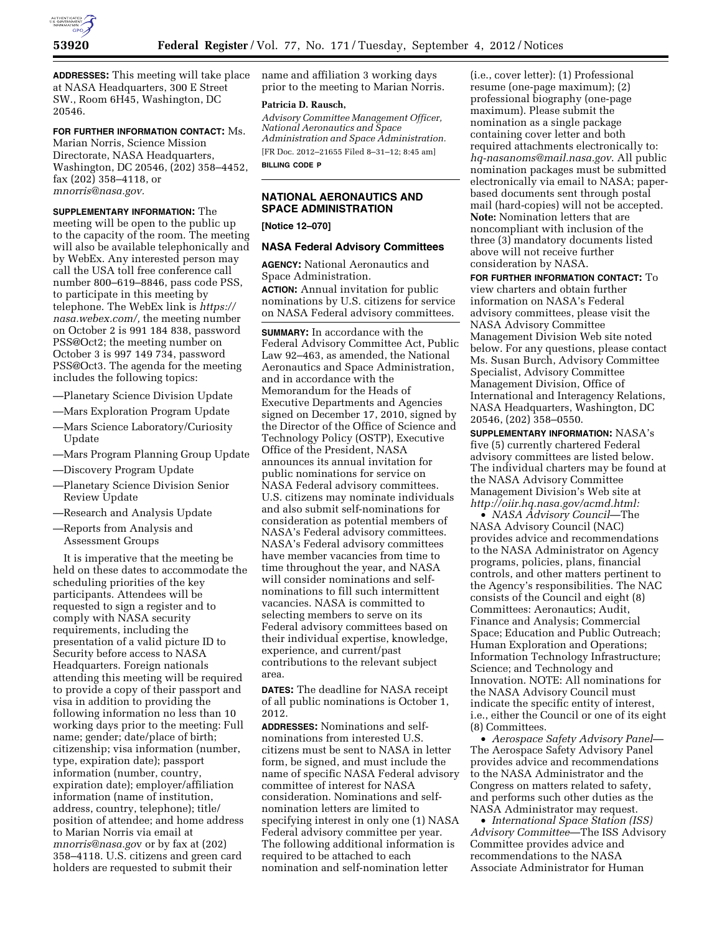

**ADDRESSES:** This meeting will take place at NASA Headquarters, 300 E Street SW., Room 6H45, Washington, DC 20546.

**FOR FURTHER INFORMATION CONTACT:** Ms. Marian Norris, Science Mission Directorate, NASA Headquarters, Washington, DC 20546, (202) 358–4452, fax (202) 358–4118, or *[mnorris@nasa.gov.](mailto:mnorris@nasa.gov)* 

**SUPPLEMENTARY INFORMATION:** The meeting will be open to the public up to the capacity of the room. The meeting will also be available telephonically and by WebEx. Any interested person may call the USA toll free conference call number 800–619–8846, pass code PSS, to participate in this meeting by telephone. The WebEx link is *[https://](https://nasa.webex.com/)  [nasa.webex.com/,](https://nasa.webex.com/)* the meeting number on October 2 is 991 184 838, password PSS@Oct2; the meeting number on October 3 is 997 149 734, password PSS@Oct3. The agenda for the meeting includes the following topics:

- —Planetary Science Division Update
- —Mars Exploration Program Update
- —Mars Science Laboratory/Curiosity Update
- —Mars Program Planning Group Update
- —Discovery Program Update
- —Planetary Science Division Senior Review Update
- —Research and Analysis Update
- —Reports from Analysis and Assessment Groups

It is imperative that the meeting be held on these dates to accommodate the scheduling priorities of the key participants. Attendees will be requested to sign a register and to comply with NASA security requirements, including the presentation of a valid picture ID to Security before access to NASA Headquarters. Foreign nationals attending this meeting will be required to provide a copy of their passport and visa in addition to providing the following information no less than 10 working days prior to the meeting: Full name; gender; date/place of birth; citizenship; visa information (number, type, expiration date); passport information (number, country, expiration date); employer/affiliation information (name of institution, address, country, telephone); title/ position of attendee; and home address to Marian Norris via email at *[mnorris@nasa.go](mailto:mnorris@nasa.gov)*v or by fax at (202) 358–4118. U.S. citizens and green card holders are requested to submit their

name and affiliation 3 working days prior to the meeting to Marian Norris.

#### **Patricia D. Rausch,**

*Advisory Committee Management Officer, National Aeronautics and Space Administration and Space Administration.*  [FR Doc. 2012–21655 Filed 8–31–12; 8:45 am] **BILLING CODE P** 

# **NATIONAL AERONAUTICS AND SPACE ADMINISTRATION**

**[Notice 12–070]** 

# **NASA Federal Advisory Committees**

**AGENCY:** National Aeronautics and Space Administration. **ACTION:** Annual invitation for public nominations by U.S. citizens for service on NASA Federal advisory committees.

**SUMMARY:** In accordance with the Federal Advisory Committee Act, Public Law 92–463, as amended, the National Aeronautics and Space Administration, and in accordance with the Memorandum for the Heads of Executive Departments and Agencies signed on December 17, 2010, signed by the Director of the Office of Science and Technology Policy (OSTP), Executive Office of the President, NASA announces its annual invitation for public nominations for service on NASA Federal advisory committees. U.S. citizens may nominate individuals and also submit self-nominations for consideration as potential members of NASA's Federal advisory committees. NASA's Federal advisory committees have member vacancies from time to time throughout the year, and NASA will consider nominations and selfnominations to fill such intermittent vacancies. NASA is committed to selecting members to serve on its Federal advisory committees based on their individual expertise, knowledge, experience, and current/past contributions to the relevant subject area.

**DATES:** The deadline for NASA receipt of all public nominations is October 1, 2012.

**ADDRESSES:** Nominations and selfnominations from interested U.S. citizens must be sent to NASA in letter form, be signed, and must include the name of specific NASA Federal advisory committee of interest for NASA consideration. Nominations and selfnomination letters are limited to specifying interest in only one (1) NASA Federal advisory committee per year. The following additional information is required to be attached to each nomination and self-nomination letter

(i.e., cover letter): (1) Professional resume (one-page maximum); (2) professional biography (one-page maximum). Please submit the nomination as a single package containing cover letter and both required attachments electronically to: *[hq-nasanoms@mail.nasa.gov](mailto:hq-nasanoms@mail.nasa.gov)*. All public nomination packages must be submitted electronically via email to NASA; paperbased documents sent through postal mail (hard-copies) will not be accepted. **Note:** Nomination letters that are noncompliant with inclusion of the three (3) mandatory documents listed above will not receive further consideration by NASA.

**FOR FURTHER INFORMATION CONTACT:** To view charters and obtain further information on NASA's Federal advisory committees, please visit the NASA Advisory Committee Management Division Web site noted below. For any questions, please contact Ms. Susan Burch, Advisory Committee Specialist, Advisory Committee Management Division, Office of International and Interagency Relations, NASA Headquarters, Washington, DC 20546, (202) 358–0550.

**SUPPLEMENTARY INFORMATION:** NASA's five (5) currently chartered Federal advisory committees are listed below. The individual charters may be found at the NASA Advisory Committee Management Division's Web site at *[http://oiir.hq.nasa.gov/acmd.html:](http://oiir.hq.nasa.gov/acmd.html)* 

• *NASA Advisory Council*—The NASA Advisory Council (NAC) provides advice and recommendations to the NASA Administrator on Agency programs, policies, plans, financial controls, and other matters pertinent to the Agency's responsibilities. The NAC consists of the Council and eight (8) Committees: Aeronautics; Audit, Finance and Analysis; Commercial Space; Education and Public Outreach; Human Exploration and Operations; Information Technology Infrastructure; Science; and Technology and Innovation. NOTE: All nominations for the NASA Advisory Council must indicate the specific entity of interest, i.e., either the Council or one of its eight (8) Committees.

• *Aerospace Safety Advisory Panel*— The Aerospace Safety Advisory Panel provides advice and recommendations to the NASA Administrator and the Congress on matters related to safety, and performs such other duties as the NASA Administrator may request.

• *International Space Station (ISS) Advisory Committee*—The ISS Advisory Committee provides advice and recommendations to the NASA Associate Administrator for Human